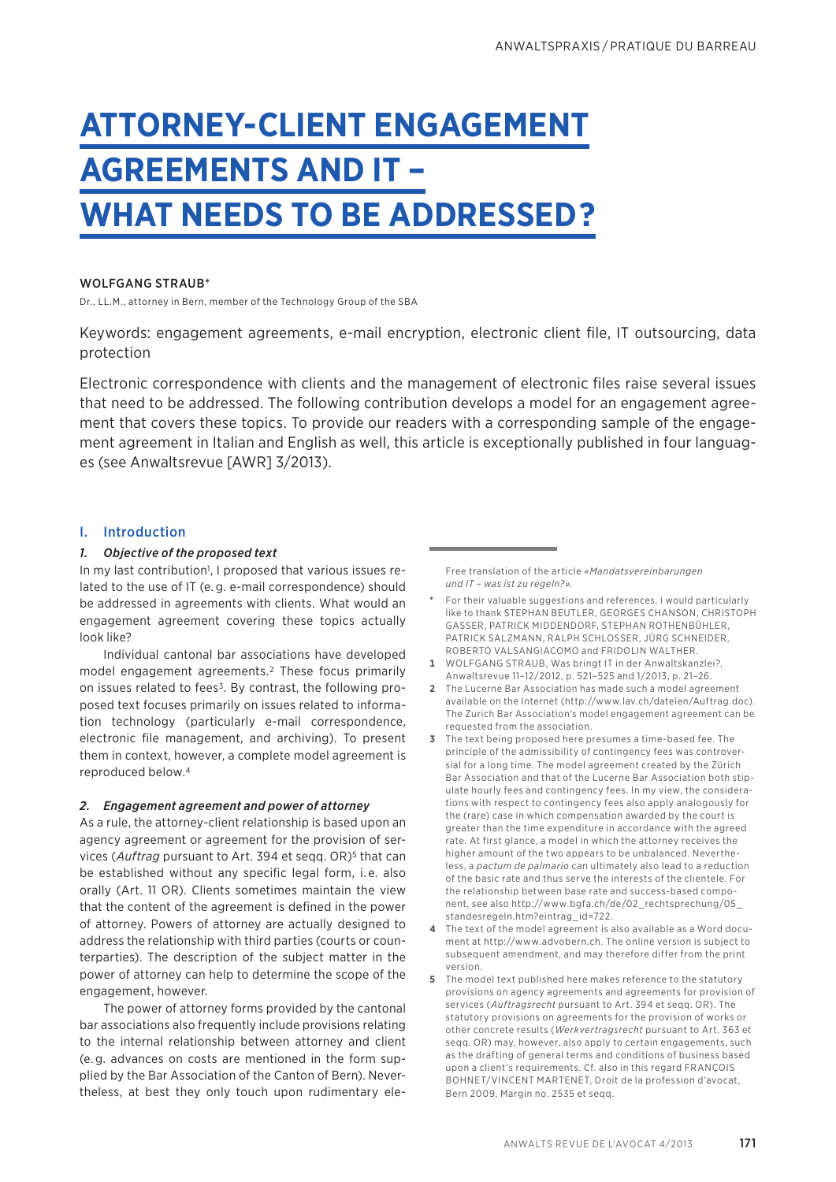# **ATTORNEY-CLIENT ENGAGEMENT AGREEMENTS AND IT – WHAT NEEDS TO BE ADDRESSED?**

# WOLFGANG STRAUB\*

Dr., LL.M., attorney in Bern, member of the Technology Group of the SBA

Keywords: engagement agreements, e-mail encryption, electronic client file, IT outsourcing, data protection

Electronic correspondence with clients and the management of electronic files raise several issues that need to be addressed. The following contribution develops a model for an engagement agreement that covers these topics. To provide our readers with a corresponding sample of the engagement agreement in Italian and English as well, this article is exceptionally published in four languages (see Anwaltsrevue [AWR] 3/2013).

# I. Introduction

# *1. Objective of the proposed text*

In my last contribution<sup>1</sup>, I proposed that various issues related to the use of IT (e. g. e-mail correspondence) should be addressed in agreements with clients. What would an engagement agreement covering these topics actually look like?

Individual cantonal bar associations have developed model engagement agreements.2 These focus primarily on issues related to fees3. By contrast, the following proposed text focuses primarily on issues related to information technology (particularly e-mail correspondence, electronic file management, and archiving). To present them in context, however, a complete model agreement is reproduced below.4

# *2. Engagement agreement and power of attorney*

As a rule, the attorney-client relationship is based upon an agency agreement or agreement for the provision of services (*Auftrag* pursuant to Art. 394 et seqq. OR)5 that can be established without any specific legal form, i. e. also orally (Art. 11 OR). Clients sometimes maintain the view that the content of the agreement is defined in the power of attorney. Powers of attorney are actually designed to address the relationship with third parties (courts or counterparties). The description of the subject matter in the power of attorney can help to determine the scope of the engagement, however.

The power of attorney forms provided by the cantonal bar associations also frequently include provisions relating to the internal relationship between attorney and client (e. g. advances on costs are mentioned in the form supplied by the Bar Association of the Canton of Bern). Nevertheless, at best they only touch upon rudimentary eleFree translation of the article *«Mandatsvereinbarungen und IT – was ist zu regeln?».*

- **\*** For their valuable suggestions and references, I would particularly like to thank STEPHAN BEUTLER, GEORGES CHANSON, CHRISTOPH GASSER, PATRICK MIDDENDORF, STEPHAN ROTHENBÜHLER, PATRICK SALZMANN, RALPH SCHLOSSER, JÜRG SCHNEIDER, ROBERTO VALSANGIACOMO and FRIDOLIN WALTHER.
- **1** WOLFGANG STRAUB, Was bringt IT in der Anwaltskanzlei?, Anwaltsrevue 11–12/2012, p. 521–525 and 1/2013, p. 21–26.
- **2** The Lucerne Bar Association has made such a model agreement available on the Internet (http://www.lav.ch/dateien/Auftrag.doc). The Zurich Bar Association's model engagement agreement can be requested from the association.
- **3** The text being proposed here presumes a time-based fee. The principle of the admissibility of contingency fees was controversial for a long time. The model agreement created by the Zürich Bar Association and that of the Lucerne Bar Association both stipulate hourly fees and contingency fees. In my view, the considerations with respect to contingency fees also apply analogously for the (rare) case in which compensation awarded by the court is greater than the time expenditure in accordance with the agreed rate. At first glance, a model in which the attorney receives the higher amount of the two appears to be unbalanced. Nevertheless, a *pactum de palmario* can ultimately also lead to a reduction of the basic rate and thus serve the interests of the clientele. For the relationship between base rate and success-based component, see also http://www.bgfa.ch/de/02\_rechtsprechung/05\_ standesregeln.htm?eintrag\_id=722.
- **4** The text of the model agreement is also available as a Word document at http://www.advobern.ch*.* The online version is subject to subsequent amendment, and may therefore differ from the print version.
- **5** The model text published here makes reference to the statutory provisions on agency agreements and agreements for provision of services (*Auftragsrecht* pursuant to Art. 394 et seqq. OR). The statutory provisions on agreements for the provision of works or other concrete results (*Werkvertragsrecht* pursuant to Art. 363 et seqq. OR) may, however, also apply to certain engagements, such as the drafting of general terms and conditions of business based upon a client's requirements. Cf. also in this regard FRANÇOIS BOHNET/VINCENT MARTENET, Droit de la profession d'avocat, Bern 2009, Margin no. 2535 et seqq.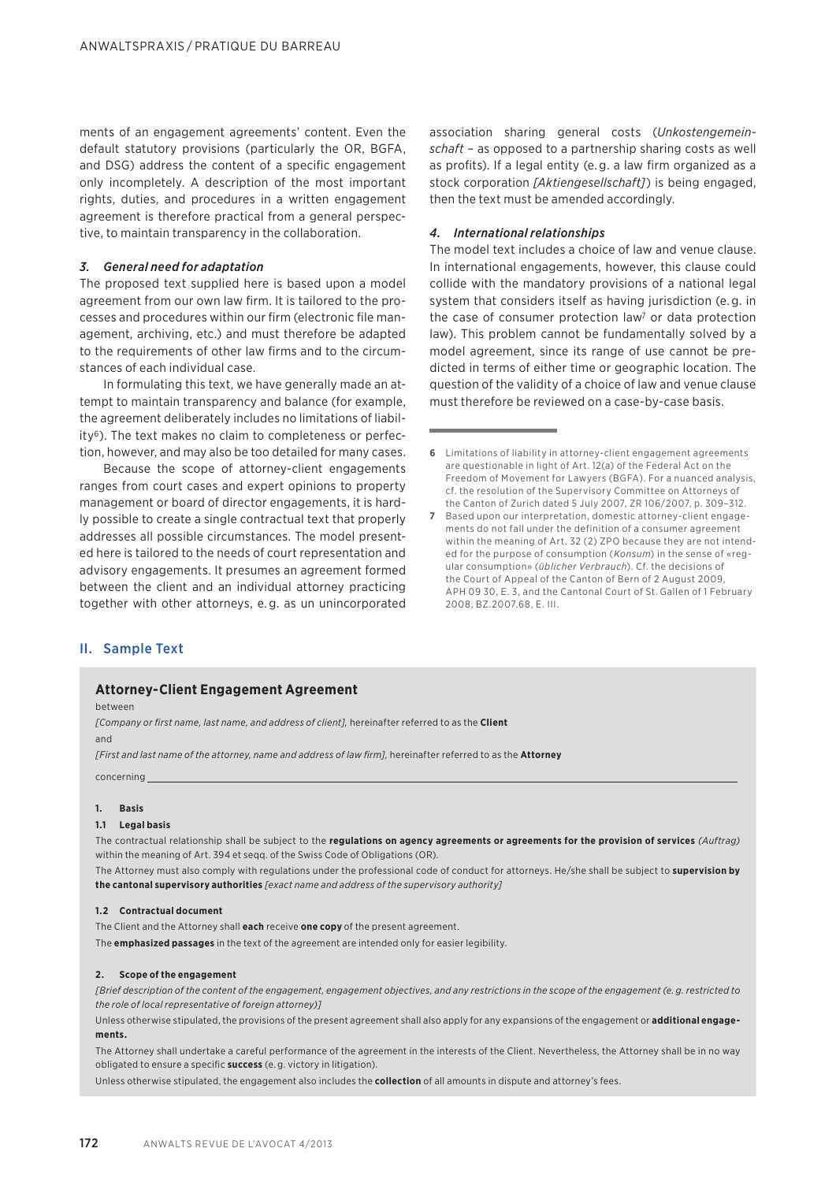ments of an engagement agreements' content. Even the default statutory provisions (particularly the OR, BGFA, and DSG) address the content of a specific engagement only incompletely. A description of the most important rights, duties, and procedures in a written engagement agreement is therefore practical from a general perspective, to maintain transparency in the collaboration.

# *3. General need for adaptation*

The proposed text supplied here is based upon a model agreement from our own law firm. It is tailored to the processes and procedures within our firm (electronic file management, archiving, etc.) and must therefore be adapted to the requirements of other law firms and to the circumstances of each individual case.

In formulating this text, we have generally made an attempt to maintain transparency and balance (for example, the agreement deliberately includes no limitations of liability<sup>6</sup>). The text makes no claim to completeness or perfection, however, and may also be too detailed for many cases.

Because the scope of attorney-client engagements ranges from court cases and expert opinions to property management or board of director engagements, it is hardly possible to create a single contractual text that properly addresses all possible circumstances. The model presented here is tailored to the needs of court representation and advisory engagements. It presumes an agreement formed between the client and an individual attorney practicing together with other attorneys, e. g. as un unincorporated association sharing general costs (*Unkostengemeinschaft* – as opposed to a partnership sharing costs as well as profits). If a legal entity (e. g. a law firm organized as a stock corporation *[Aktiengesellschaft]*) is being engaged, then the text must be amended accordingly.

### *4. International relationships*

The model text includes a choice of law and venue clause. In international engagements, however, this clause could collide with the mandatory provisions of a national legal system that considers itself as having jurisdiction (e. g. in the case of consumer protection law? or data protection law). This problem cannot be fundamentally solved by a model agreement, since its range of use cannot be predicted in terms of either time or geographic location. The question of the validity of a choice of law and venue clause must therefore be reviewed on a case-by-case basis.

# II. Sample Text

# **Attorney-Client Engagement Agreement**

#### between

*[Company or first name, last name, and address of client],* hereinafter referred to as the **Client** and

*[First and last name of the attorney, name and address of law firm],* hereinafter referred to as the **Attorney**

#### concerning

#### **1. Basis**

#### **1.1 Legal basis**

The contractual relationship shall be subject to the **regulations on agency agreements or agreements for the provision of services** *(Auftrag)* within the meaning of Art. 394 et seqq. of the Swiss Code of Obligations (OR).

The Attorney must also comply with regulations under the professional code of conduct for attorneys. He/she shall be subject to **supervision by the cantonal supervisory authorities** *[exact name and address of the supervisory authority]*

#### **1.2 Contractual document**

The Client and the Attorney shall **each** receive **one copy** of the present agreement.

The **emphasized passages** in the text of the agreement are intended only for easier legibility.

#### **2. Scope of the engagement**

*[Brief description of the content of the engagement, engagement objectives, and any restrictions in the scope of the engagement (e. g. restricted to the role of local representative of foreign attorney)]*

Unless otherwise stipulated, the provisions of the present agreement shall also apply for any expansions of the engagement or **additional engagements.**

The Attorney shall undertake a careful performance of the agreement in the interests of the Client. Nevertheless, the Attorney shall be in no way obligated to ensure a specific **success** (e. g. victory in litigation).

Unless otherwise stipulated, the engagement also includes the **collection** of all amounts in dispute and attorney's fees.

**<sup>6</sup>** Limitations of liability in attorney-client engagement agreements are questionable in light of Art. 12(a) of the Federal Act on the Freedom of Movement for Lawyers (BGFA). For a nuanced analysis, cf. the resolution of the Supervisory Committee on Attorneys of the Canton of Zurich dated 5 July 2007, ZR 106/2007, p. 309–312.

**<sup>7</sup>** Based upon our interpretation, domestic attorney-client engagements do not fall under the definition of a consumer agreement within the meaning of Art. 32 (2) ZPO because they are not intended for the purpose of consumption (*Konsum*) in the sense of «regular consumption» (*üblicher Verbrauch*). Cf. the decisions of the Court of Appeal of the Canton of Bern of 2 August 2009, APH 09 30, E. 3, and the Cantonal Court of St. Gallen of 1 February 2008, BZ.2007.68, E. III.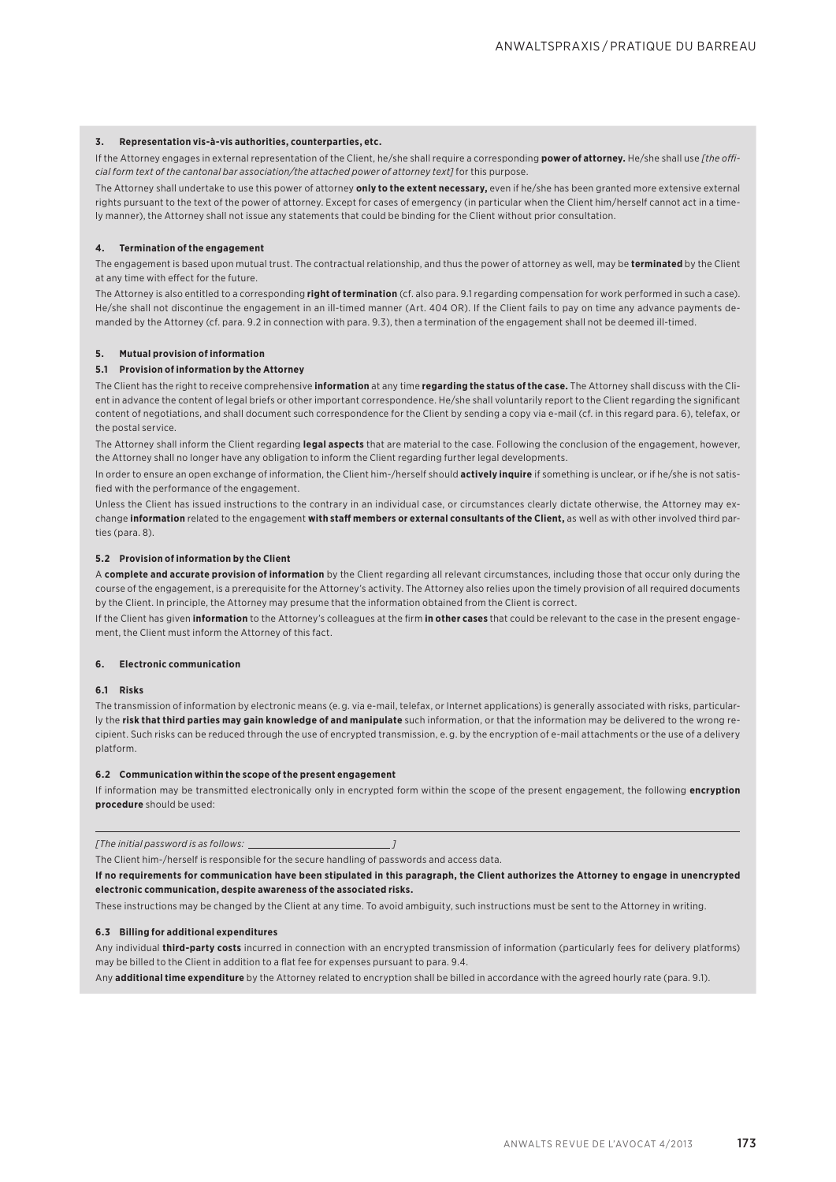#### **3. Representation vis-à-vis authorities, counterparties, etc.**

If the Attorney engages in external representation of the Client, he/she shall require a corresponding **power of attorney.** He/she shall use [the offi*cial form text of the cantonal bar association/the attached power of attorney text]* for this purpose.

The Attorney shall undertake to use this power of attorney **only to the extent necessary,** even if he/she has been granted more extensive external rights pursuant to the text of the power of attorney. Except for cases of emergency (in particular when the Client him/herself cannot act in a timely manner), the Attorney shall not issue any statements that could be binding for the Client without prior consultation.

#### **4. Termination of the engagement**

The engagement is based upon mutual trust. The contractual relationship, and thus the power of attorney as well, may be **terminated** by the Client at any time with effect for the future.

The Attorney is also entitled to a corresponding **right of termination** (cf. also para. 9.1 regarding compensation for work performed in such a case). He/she shall not discontinue the engagement in an ill-timed manner (Art. 404 OR). If the Client fails to pay on time any advance payments demanded by the Attorney (cf. para. 9.2 in connection with para. 9.3), then a termination of the engagement shall not be deemed ill-timed.

#### **5. Mutual provision of information**

#### **5.1 Provision of information by the Attorney**

The Client has the right to receive comprehensive **information** at any time **regarding the status of the case.** The Attorney shall discuss with the Client in advance the content of legal briefs or other important correspondence. He/she shall voluntarily report to the Client regarding the significant content of negotiations, and shall document such correspondence for the Client by sending a copy via e-mail (cf. in this regard para. 6), telefax, or the postal service.

The Attorney shall inform the Client regarding **legal aspects** that are material to the case. Following the conclusion of the engagement, however, the Attorney shall no longer have any obligation to inform the Client regarding further legal developments.

In order to ensure an open exchange of information, the Client him-/herself should **actively inquire** if something is unclear, or if he/she is not satisfied with the performance of the engagement.

Unless the Client has issued instructions to the contrary in an individual case, or circumstances clearly dictate otherwise, the Attorney may exchange information related to the engagement with staff members or external consultants of the Client, as well as with other involved third parties (para. 8).

#### **5.2 Provision of information by the Client**

A **complete and accurate provision of information** by the Client regarding all relevant circumstances, including those that occur only during the course of the engagement, is a prerequisite for the Attorney's activity. The Attorney also relies upon the timely provision of all required documents by the Client. In principle, the Attorney may presume that the information obtained from the Client is correct.

If the Client has given **information** to the Attorney's colleagues at the firm **in other cases** that could be relevant to the case in the present engagement, the Client must inform the Attorney of this fact.

#### **6. Electronic communication**

#### **6.1 Risks**

The transmission of information by electronic means (e. g. via e-mail, telefax, or Internet applications) is generally associated with risks, particularly the **risk that third parties may gain knowledge of and manipulate** such information, or that the information may be delivered to the wrong recipient. Such risks can be reduced through the use of encrypted transmission, e. g. by the encryption of e-mail attachments or the use of a delivery platform.

#### **6.2 Communication within the scope of the present engagement**

If information may be transmitted electronically only in encrypted form within the scope of the present engagement, the following **encryption procedure** should be used:

*[The initial password is as follows: ]*

The Client him-/herself is responsible for the secure handling of passwords and access data.

**If no requirements for communication have been stipulated in this paragraph, the Client authorizes the Attorney to engage in unencrypted electronic communication, despite awareness of the associated risks.**

These instructions may be changed by the Client at any time. To avoid ambiguity, such instructions must be sent to the Attorney in writing.

#### **6.3 Billing for additional expenditures**

Any individual **third-party costs** incurred in connection with an encrypted transmission of information (particularly fees for delivery platforms) may be billed to the Client in addition to a flat fee for expenses pursuant to para. 9.4.

Any **additional time expenditure** by the Attorney related to encryption shall be billed in accordance with the agreed hourly rate (para. 9.1).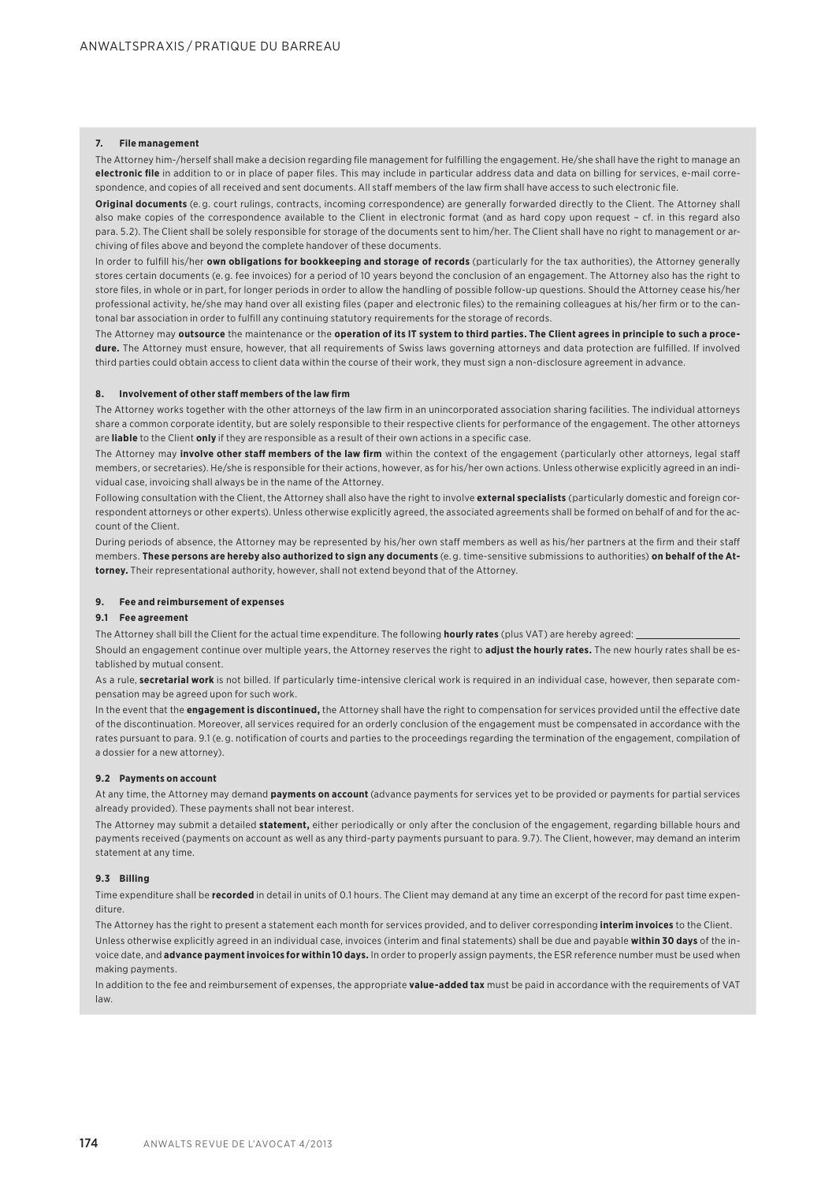#### **7. File management**

The Attorney him-/herself shall make a decision regarding file management for fulfilling the engagement. He/she shall have the right to manage an **electronic file** in addition to or in place of paper files. This may include in particular address data and data on billing for services, e-mail correspondence, and copies of all received and sent documents. All staff members of the law firm shall have access to such electronic file.

Original documents (e.g. court rulings, contracts, incoming correspondence) are generally forwarded directly to the Client. The Attorney shall also make copies of the correspondence available to the Client in electronic format (and as hard copy upon request – cf. in this regard also para. 5.2). The Client shall be solely responsible for storage of the documents sent to him/her. The Client shall have no right to management or archiving of files above and beyond the complete handover of these documents.

In order to fulfill his/her **own obligations for bookkeeping and storage of records** (particularly for the tax authorities), the Attorney generally stores certain documents (e. g. fee invoices) for a period of 10 years beyond the conclusion of an engagement. The Attorney also has the right to store files, in whole or in part, for longer periods in order to allow the handling of possible follow-up questions. Should the Attorney cease his/her professional activity, he/she may hand over all existing files (paper and electronic files) to the remaining colleagues at his/her firm or to the cantonal bar association in order to fulfill any continuing statutory requirements for the storage of records.

The Attorney may **outsource** the maintenance or the **operation of its IT system to third parties. The Client agrees in principle to such a procedure.** The Attorney must ensure, however, that all requirements of Swiss laws governing attorneys and data protection are fulfilled. If involved third parties could obtain access to client data within the course of their work, they must sign a non-disclosure agreement in advance.

#### **B. Involvement of other staff members of the law firm**

The Attorney works together with the other attorneys of the law firm in an unincorporated association sharing facilities. The individual attorneys share a common corporate identity, but are solely responsible to their respective clients for performance of the engagement. The other attorneys are **liable** to the Client **only** if they are responsible as a result of their own actions in a specific case.

The Attorney may *involve other staff members of the law firm* within the context of the engagement (particularly other attorneys, legal staff members, or secretaries). He/she is responsible for their actions, however, as for his/her own actions. Unless otherwise explicitly agreed in an individual case, invoicing shall always be in the name of the Attorney.

Following consultation with the Client, the Attorney shall also have the right to involve **external specialists** (particularly domestic and foreign correspondent attorneys or other experts). Unless otherwise explicitly agreed, the associated agreements shall be formed on behalf of and for the account of the Client.

During periods of absence, the Attorney may be represented by his/her own staff members as well as his/her partners at the firm and their staff members. **These persons are hereby also authorized to sign any documents** (e. g. time-sensitive submissions to authorities) **on behalf of the Attorney.** Their representational authority, however, shall not extend beyond that of the Attorney.

#### **9. Fee and reimbursement of expenses**

#### **9.1 Fee agreement**

The Attorney shall bill the Client for the actual time expenditure. The following **hourly rates** (plus VAT) are hereby agreed:

Should an engagement continue over multiple years, the Attorney reserves the right to **adjust the hourly rates.** The new hourly rates shall be established by mutual consent.

As a rule, **secretarial work** is not billed. If particularly time-intensive clerical work is required in an individual case, however, then separate compensation may be agreed upon for such work.

In the event that the **engagement is discontinued**, the Attorney shall have the right to compensation for services provided until the effective date of the discontinuation. Moreover, all services required for an orderly conclusion of the engagement must be compensated in accordance with the rates pursuant to para. 9.1 (e. g. notification of courts and parties to the proceedings regarding the termination of the engagement, compilation of a dossier for a new attorney).

#### **9.2 Payments on account**

At any time, the Attorney may demand **payments on account** (advance payments for services yet to be provided or payments for partial services already provided). These payments shall not bear interest.

The Attorney may submit a detailed **statement,** either periodically or only after the conclusion of the engagement, regarding billable hours and payments received (payments on account as well as any third-party payments pursuant to para. 9.7). The Client, however, may demand an interim statement at any time.

#### **9.3 Billing**

Time expenditure shall be **recorded** in detail in units of 0.1 hours. The Client may demand at any time an excerpt of the record for past time expenditure.

The Attorney has the right to present a statement each month for services provided, and to deliver corresponding **interim invoices** to the Client.

Unless otherwise explicitly agreed in an individual case, invoices (interim and final statements) shall be due and payable **within 30 days** of the invoice date, and **advance payment invoices for within 10 days.** In order to properly assign payments, the ESR reference number must be used when making payments.

In addition to the fee and reimbursement of expenses, the appropriate **value-added tax** must be paid in accordance with the requirements of VAT law.